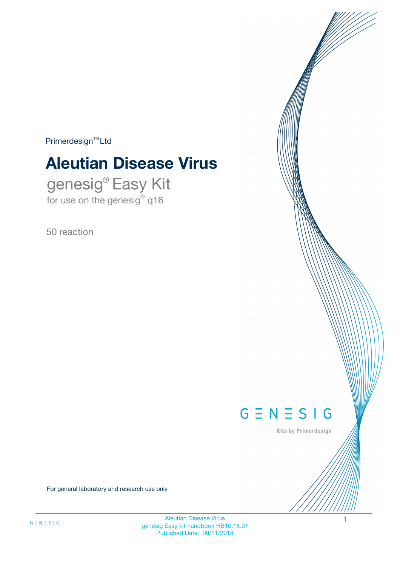$Primerdesign^{\text{TM}}Ltd$ 

# **Aleutian Disease Virus**

genesig® Easy Kit for use on the genesig® q16

50 reaction



Kits by Primerdesign

For general laboratory and research use only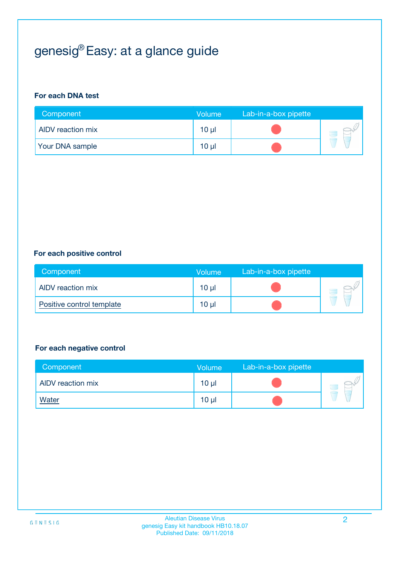## genesig® Easy: at a glance guide

#### **For each DNA test**

| Component                | <b>Volume</b> | Lab-in-a-box pipette |  |
|--------------------------|---------------|----------------------|--|
| <b>AIDV</b> reaction mix | $10 \mu$      |                      |  |
| <b>Your DNA sample</b>   | $10 \mu$      |                      |  |

#### **For each positive control**

| Component                 | <b>Volume</b>   | Lab-in-a-box pipette |  |
|---------------------------|-----------------|----------------------|--|
| AIDV reaction mix         | 10 <sub>µ</sub> |                      |  |
| Positive control template | $10 \mu$        |                      |  |

#### **For each negative control**

| Component         | Volume          | Lab-in-a-box pipette |  |
|-------------------|-----------------|----------------------|--|
| AIDV reaction mix | 10 <sub>µ</sub> |                      |  |
| <b>Water</b>      | 10 <sub>µ</sub> |                      |  |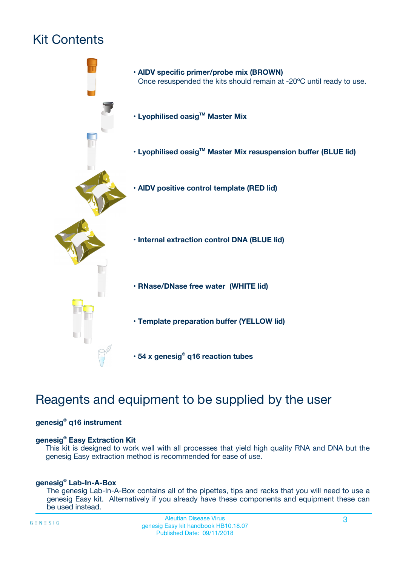## Kit Contents



## Reagents and equipment to be supplied by the user

#### **genesig® q16 instrument**

#### **genesig® Easy Extraction Kit**

This kit is designed to work well with all processes that yield high quality RNA and DNA but the genesig Easy extraction method is recommended for ease of use.

#### **genesig® Lab-In-A-Box**

The genesig Lab-In-A-Box contains all of the pipettes, tips and racks that you will need to use a genesig Easy kit. Alternatively if you already have these components and equipment these can be used instead.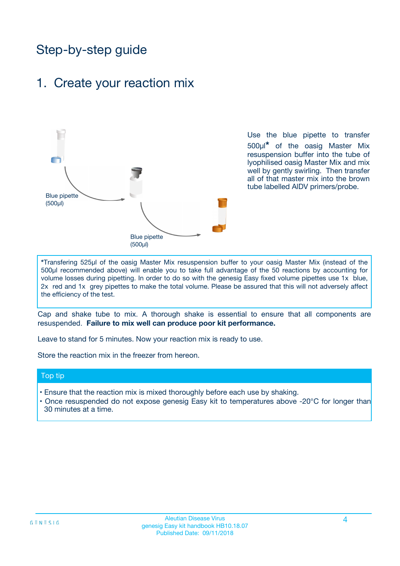## Step-by-step guide

### 1. Create your reaction mix



Use the blue pipette to transfer 500µl**\*** of the oasig Master Mix resuspension buffer into the tube of lyophilised oasig Master Mix and mix well by gently swirling. Then transfer all of that master mix into the brown tube labelled AlDV primers/probe.

**\***Transfering 525µl of the oasig Master Mix resuspension buffer to your oasig Master Mix (instead of the 500µl recommended above) will enable you to take full advantage of the 50 reactions by accounting for volume losses during pipetting. In order to do so with the genesig Easy fixed volume pipettes use 1x blue, 2x red and 1x grey pipettes to make the total volume. Please be assured that this will not adversely affect the efficiency of the test.

Cap and shake tube to mix. A thorough shake is essential to ensure that all components are resuspended. **Failure to mix well can produce poor kit performance.**

Leave to stand for 5 minutes. Now your reaction mix is ready to use.

Store the reaction mix in the freezer from hereon.

#### Top tip

- Ensure that the reaction mix is mixed thoroughly before each use by shaking.
- **•** Once resuspended do not expose genesig Easy kit to temperatures above -20°C for longer than 30 minutes at a time.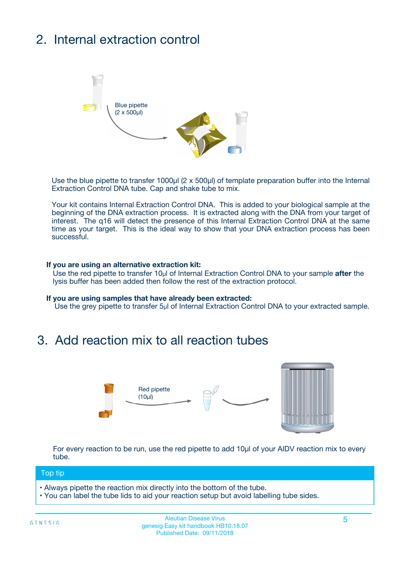## 2. Internal extraction control



Use the blue pipette to transfer 1000µl (2 x 500µl) of template preparation buffer into the Internal Extraction Control DNA tube. Cap and shake tube to mix.

Your kit contains Internal Extraction Control DNA. This is added to your biological sample at the beginning of the DNA extraction process. It is extracted along with the DNA from your target of interest. The q16 will detect the presence of this Internal Extraction Control DNA at the same time as your target. This is the ideal way to show that your DNA extraction process has been **successful.** 

#### **If you are using an alternative extraction kit:**

Use the red pipette to transfer 10µl of Internal Extraction Control DNA to your sample **after** the lysis buffer has been added then follow the rest of the extraction protocol.

#### **If you are using samples that have already been extracted:**

Use the grey pipette to transfer 5µl of Internal Extraction Control DNA to your extracted sample.

### 3. Add reaction mix to all reaction tubes



For every reaction to be run, use the red pipette to add 10µl of your AlDV reaction mix to every tube.

#### Top tip

- Always pipette the reaction mix directly into the bottom of the tube.
- You can label the tube lids to aid your reaction setup but avoid labelling tube sides.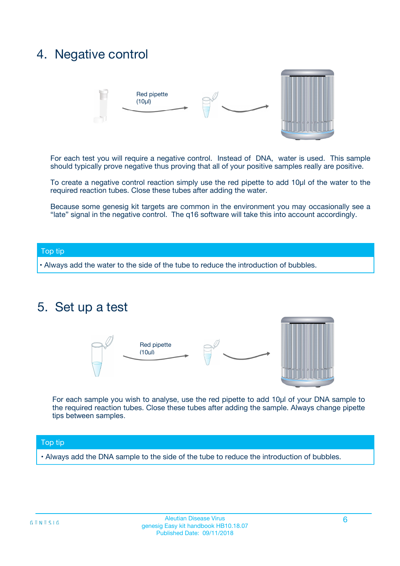### 4. Negative control



For each test you will require a negative control. Instead of DNA, water is used. This sample should typically prove negative thus proving that all of your positive samples really are positive.

To create a negative control reaction simply use the red pipette to add 10µl of the water to the required reaction tubes. Close these tubes after adding the water.

Because some genesig kit targets are common in the environment you may occasionally see a "late" signal in the negative control. The q16 software will take this into account accordingly.

#### Top tip

**•** Always add the water to the side of the tube to reduce the introduction of bubbles.

### 5. Set up a test



For each sample you wish to analyse, use the red pipette to add 10µl of your DNA sample to the required reaction tubes. Close these tubes after adding the sample. Always change pipette tips between samples.

#### Top tip

**•** Always add the DNA sample to the side of the tube to reduce the introduction of bubbles.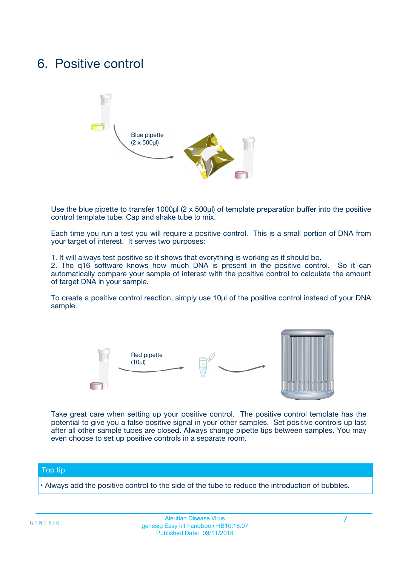### 6. Positive control



Use the blue pipette to transfer 1000µl (2 x 500µl) of template preparation buffer into the positive control template tube. Cap and shake tube to mix.

Each time you run a test you will require a positive control. This is a small portion of DNA from your target of interest. It serves two purposes:

1. It will always test positive so it shows that everything is working as it should be.

2. The q16 software knows how much DNA is present in the positive control. So it can automatically compare your sample of interest with the positive control to calculate the amount of target DNA in your sample.

To create a positive control reaction, simply use 10µl of the positive control instead of your DNA sample.



Take great care when setting up your positive control. The positive control template has the potential to give you a false positive signal in your other samples. Set positive controls up last after all other sample tubes are closed. Always change pipette tips between samples. You may even choose to set up positive controls in a separate room.

#### Top tip

**•** Always add the positive control to the side of the tube to reduce the introduction of bubbles.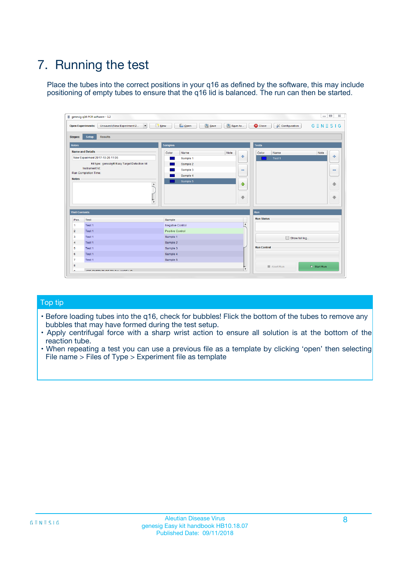## 7. Running the test

Place the tubes into the correct positions in your q16 as defined by the software, this may include positioning of empty tubes to ensure that the q16 lid is balanced. The run can then be started.

| qenesig q16 PCR software - 1.2                                               |                                   | $\Box$                                                                                          |
|------------------------------------------------------------------------------|-----------------------------------|-------------------------------------------------------------------------------------------------|
| $\vert \cdot \vert$<br>Unsaved (New Experiment 2<br><b>Open Experiments:</b> | <b>D</b> Open<br>R <sub>New</sub> | Save<br>Save As<br><b>C</b> Close<br><b>&amp; Configuration</b><br>$G \equiv N \equiv S \mid G$ |
| <b>Setup</b><br><b>Results</b><br>Stages:                                    |                                   |                                                                                                 |
| <b>Notes</b>                                                                 | <b>Samples</b>                    | <b>Tests</b>                                                                                    |
| <b>Name and Details</b>                                                      | Name<br>Color                     | Note<br>Color<br>Note<br>Name                                                                   |
| New Experiment 2017-10-26 11:06                                              | Sample 1                          | ÷<br>条<br>Test 1                                                                                |
| Kit type: genesig® Easy Target Detection kit                                 | Sample 2                          |                                                                                                 |
| Instrument Id.:                                                              | Sample 3                          | $\qquad \qquad \blacksquare$<br>$\qquad \qquad \blacksquare$                                    |
| <b>Run Completion Time:</b>                                                  | Sample 4                          |                                                                                                 |
| <b>Notes</b><br><b>A</b><br>$\overline{\mathbf v}$                           | Sample 5                          | ♦<br>4<br>÷<br>₩                                                                                |
| <b>Well Contents</b>                                                         |                                   | <b>Run</b>                                                                                      |
| Pos.<br>Test                                                                 | Sample                            | <b>Run Status</b>                                                                               |
| Test 1<br>$\blacktriangleleft$                                               | Negative Control                  | $\blacktriangle$                                                                                |
| $\overline{2}$<br>Test 1                                                     | <b>Positive Control</b>           |                                                                                                 |
| $\overline{\mathbf{3}}$<br>Test 1                                            | Sample 1                          | Show full log                                                                                   |
| Test 1<br>4                                                                  | Sample 2                          |                                                                                                 |
| 5<br>Test 1                                                                  | Sample 3                          | <b>Run Control</b>                                                                              |
| Test 1<br>6                                                                  | Sample 4                          |                                                                                                 |
| $\overline{7}$<br>Test 1                                                     | Sample 5                          |                                                                                                 |
| 8                                                                            |                                   | $\triangleright$ Start Run<br>Abort Run                                                         |
| <b>JOD FURTY TUDE TO BUILDED IN</b>                                          |                                   | $\overline{\mathbf{v}}$                                                                         |

#### Top tip

- Before loading tubes into the q16, check for bubbles! Flick the bottom of the tubes to remove any bubbles that may have formed during the test setup.
- Apply centrifugal force with a sharp wrist action to ensure all solution is at the bottom of the reaction tube.
- When repeating a test you can use a previous file as a template by clicking 'open' then selecting File name > Files of Type > Experiment file as template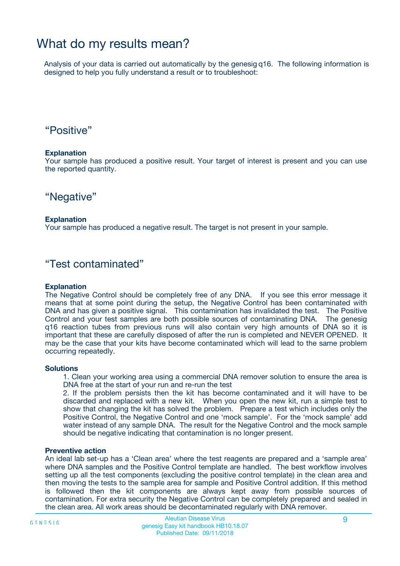### What do my results mean?

Analysis of your data is carried out automatically by the genesig q16. The following information is designed to help you fully understand a result or to troubleshoot:

### "Positive"

#### **Explanation**

Your sample has produced a positive result. Your target of interest is present and you can use the reported quantity.

"Negative"

#### **Explanation**

Your sample has produced a negative result. The target is not present in your sample.

### "Test contaminated"

#### **Explanation**

The Negative Control should be completely free of any DNA. If you see this error message it means that at some point during the setup, the Negative Control has been contaminated with DNA and has given a positive signal. This contamination has invalidated the test. The Positive Control and your test samples are both possible sources of contaminating DNA. The genesig q16 reaction tubes from previous runs will also contain very high amounts of DNA so it is important that these are carefully disposed of after the run is completed and NEVER OPENED. It may be the case that your kits have become contaminated which will lead to the same problem occurring repeatedly.

#### **Solutions**

1. Clean your working area using a commercial DNA remover solution to ensure the area is DNA free at the start of your run and re-run the test

2. If the problem persists then the kit has become contaminated and it will have to be discarded and replaced with a new kit. When you open the new kit, run a simple test to show that changing the kit has solved the problem. Prepare a test which includes only the Positive Control, the Negative Control and one 'mock sample'. For the 'mock sample' add water instead of any sample DNA. The result for the Negative Control and the mock sample should be negative indicating that contamination is no longer present.

#### **Preventive action**

An ideal lab set-up has a 'Clean area' where the test reagents are prepared and a 'sample area' where DNA samples and the Positive Control template are handled. The best workflow involves setting up all the test components (excluding the positive control template) in the clean area and then moving the tests to the sample area for sample and Positive Control addition. If this method is followed then the kit components are always kept away from possible sources of contamination. For extra security the Negative Control can be completely prepared and sealed in the clean area. All work areas should be decontaminated regularly with DNA remover.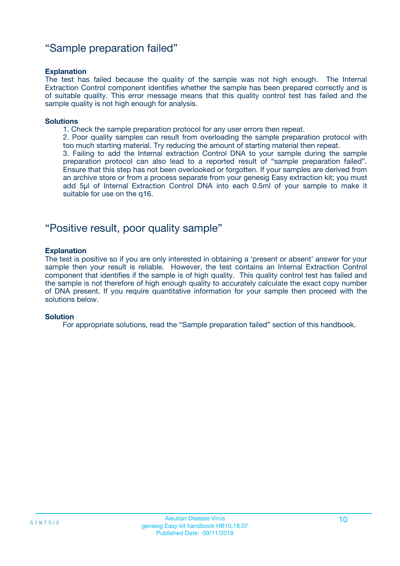### "Sample preparation failed"

#### **Explanation**

The test has failed because the quality of the sample was not high enough. The Internal Extraction Control component identifies whether the sample has been prepared correctly and is of suitable quality. This error message means that this quality control test has failed and the sample quality is not high enough for analysis.

#### **Solutions**

1. Check the sample preparation protocol for any user errors then repeat.

2. Poor quality samples can result from overloading the sample preparation protocol with too much starting material. Try reducing the amount of starting material then repeat.

3. Failing to add the Internal extraction Control DNA to your sample during the sample preparation protocol can also lead to a reported result of "sample preparation failed". Ensure that this step has not been overlooked or forgotten. If your samples are derived from an archive store or from a process separate from your genesig Easy extraction kit; you must add 5µl of Internal Extraction Control DNA into each 0.5ml of your sample to make it suitable for use on the q16.

### "Positive result, poor quality sample"

#### **Explanation**

The test is positive so if you are only interested in obtaining a 'present or absent' answer for your sample then your result is reliable. However, the test contains an Internal Extraction Control component that identifies if the sample is of high quality. This quality control test has failed and the sample is not therefore of high enough quality to accurately calculate the exact copy number of DNA present. If you require quantitative information for your sample then proceed with the solutions below.

#### **Solution**

For appropriate solutions, read the "Sample preparation failed" section of this handbook.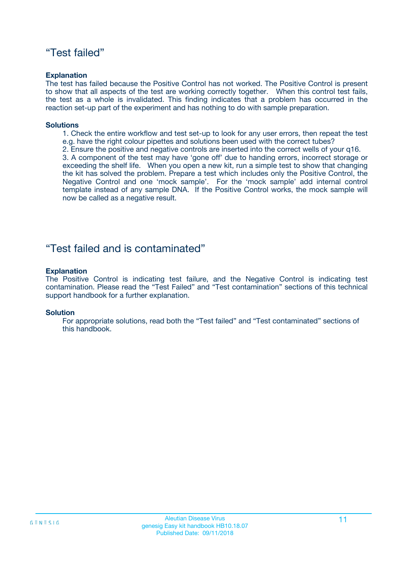### "Test failed"

#### **Explanation**

The test has failed because the Positive Control has not worked. The Positive Control is present to show that all aspects of the test are working correctly together. When this control test fails, the test as a whole is invalidated. This finding indicates that a problem has occurred in the reaction set-up part of the experiment and has nothing to do with sample preparation.

#### **Solutions**

- 1. Check the entire workflow and test set-up to look for any user errors, then repeat the test e.g. have the right colour pipettes and solutions been used with the correct tubes?
- 2. Ensure the positive and negative controls are inserted into the correct wells of your q16.

3. A component of the test may have 'gone off' due to handing errors, incorrect storage or exceeding the shelf life. When you open a new kit, run a simple test to show that changing the kit has solved the problem. Prepare a test which includes only the Positive Control, the Negative Control and one 'mock sample'. For the 'mock sample' add internal control template instead of any sample DNA. If the Positive Control works, the mock sample will now be called as a negative result.

### "Test failed and is contaminated"

#### **Explanation**

The Positive Control is indicating test failure, and the Negative Control is indicating test contamination. Please read the "Test Failed" and "Test contamination" sections of this technical support handbook for a further explanation.

#### **Solution**

For appropriate solutions, read both the "Test failed" and "Test contaminated" sections of this handbook.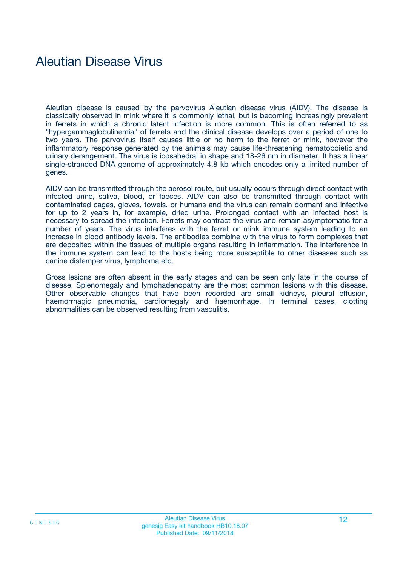### Aleutian Disease Virus

Aleutian disease is caused by the parvovirus Aleutian disease virus (AIDV). The disease is classically observed in mink where it is commonly lethal, but is becoming increasingly prevalent in ferrets in which a chronic latent infection is more common. This is often referred to as "hypergammaglobulinemia" of ferrets and the clinical disease develops over a period of one to two years. The parvovirus itself causes little or no harm to the ferret or mink, however the inflammatory response generated by the animals may cause life-threatening hematopoietic and urinary derangement. The virus is icosahedral in shape and 18-26 nm in diameter. It has a linear single-stranded DNA genome of approximately 4.8 kb which encodes only a limited number of genes.

AIDV can be transmitted through the aerosol route, but usually occurs through direct contact with infected urine, saliva, blood, or faeces. AIDV can also be transmitted through contact with contaminated cages, gloves, towels, or humans and the virus can remain dormant and infective for up to 2 years in, for example, dried urine. Prolonged contact with an infected host is necessary to spread the infection. Ferrets may contract the virus and remain asymptomatic for a number of years. The virus interferes with the ferret or mink immune system leading to an increase in blood antibody levels. The antibodies combine with the virus to form complexes that are deposited within the tissues of multiple organs resulting in inflammation. The interference in the immune system can lead to the hosts being more susceptible to other diseases such as canine distemper virus, lymphoma etc.

Gross lesions are often absent in the early stages and can be seen only late in the course of disease. Splenomegaly and lymphadenopathy are the most common lesions with this disease. Other observable changes that have been recorded are small kidneys, pleural effusion, haemorrhagic pneumonia, cardiomegaly and haemorrhage. In terminal cases, clotting abnormalities can be observed resulting from vasculitis.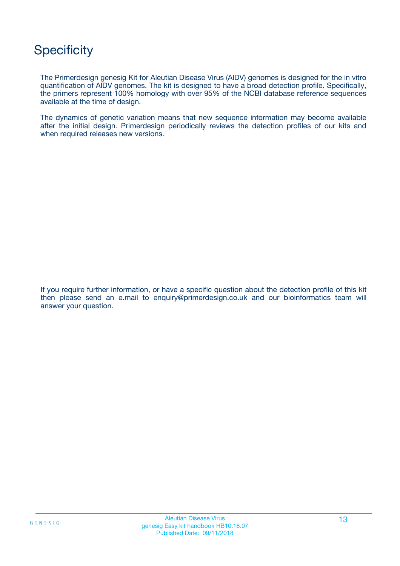## **Specificity**

The Primerdesign genesig Kit for Aleutian Disease Virus (AlDV) genomes is designed for the in vitro quantification of AlDV genomes. The kit is designed to have a broad detection profile. Specifically, the primers represent 100% homology with over 95% of the NCBI database reference sequences available at the time of design.

The dynamics of genetic variation means that new sequence information may become available after the initial design. Primerdesign periodically reviews the detection profiles of our kits and when required releases new versions.

If you require further information, or have a specific question about the detection profile of this kit then please send an e.mail to enquiry@primerdesign.co.uk and our bioinformatics team will answer your question.